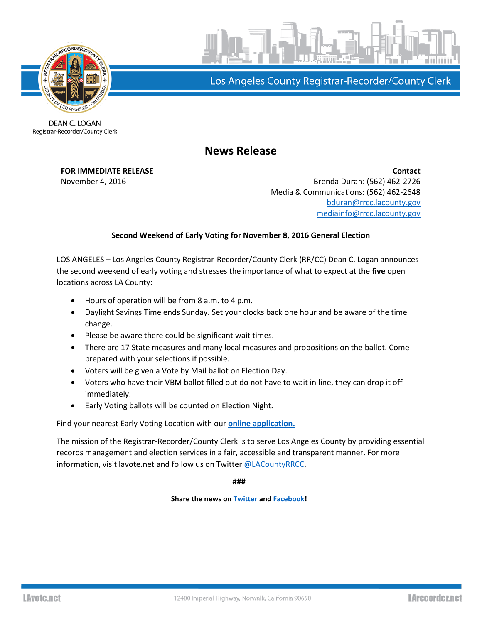



Los Angeles County Registrar-Recorder/County Clerk

DEAN C. LOGAN Registrar-Recorder/County Clerk

## **News Release**

**FOR IMMEDIATE RELEASE Contact** November 4, 2016 **Brenda Duran: (562)** 462-2726 Media & Communications: (562) 462-2648 [bduran@rrcc.lacounty.gov](mailto:bduran@rrcc.lacounty.gov) [mediainfo@rrcc.lacounty.gov](mailto:mediainfo@rrcc.lacounty.gov)

## **Second Weekend of Early Voting for November 8, 2016 General Election**

LOS ANGELES – Los Angeles County Registrar-Recorder/County Clerk (RR/CC) Dean C. Logan announces the second weekend of early voting and stresses the importance of what to expect at the **five** open locations across LA County:

- Hours of operation will be from 8 a.m. to 4 p.m.
- Daylight Savings Time ends Sunday. Set your clocks back one hour and be aware of the time change.
- Please be aware there could be significant wait times.
- There are 17 State measures and many local measures and propositions on the ballot. Come prepared with your selections if possible.
- Voters will be given a Vote by Mail ballot on Election Day.
- Voters who have their VBM ballot filled out do not have to wait in line, they can drop it off immediately.
- Early Voting ballots will be counted on Election Night.

Find your nearest Early Voting Location with our **[online application.](https://lavote.net/Apps/SiteLocator/Locator/2)**

The mission of the Registrar-Recorder/County Clerk is to serve Los Angeles County by providing essential records management and election services in a fair, accessible and transparent manner. For more information, visit lavote.net and follow us on Twitter [@LACountyRRCC.](https://twitter.com/LACountyRRCC)

**###**

**Share the news o[n Twitter a](https://twitter.com/LACountyRRCC)nd [Facebook!](https://www.facebook.com/LACountyRRCC)**